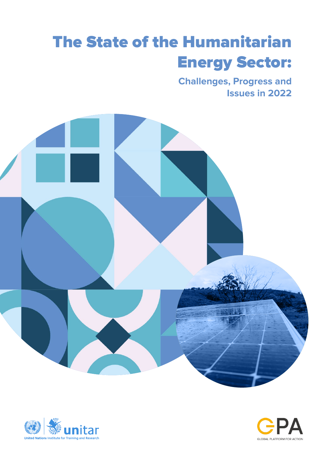# The State of the Humanitarian Energy Sector:

**Challenges, Progress and Issues in 2022**





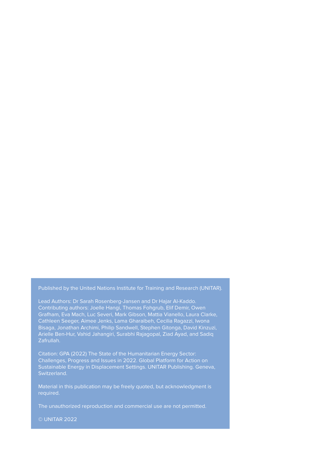Published by the United Nations Institute for Training and Research (UNITAR).

Lead Authors: Dr Sarah Rosenberg-Jansen and Dr Hajar Al-Kaddo. Contributing authors: Joelle Hangi, Thomas Fohgrub, Elif Demir, Owen Grafham, Eva Mach, Luc Severi, Mark Gibson, Mattia Vianello, Laura Clarke, Cathleen Seeger, Aimee Jenks, Lama Gharaibeh, Cecilia Ragazzi, Iwona Bisaga, Jonathan Archimi, Philip Sandwell, Stephen Gitonga, David Kinzuzi, Arielle Ben-Hur, Vahid Jahangiri, Surabhi Rajagopal, Ziad Ayad, and Sadiq Zafrullah.

Citation: GPA (2022) The State of the Humanitarian Energy Sector: Challenges, Progress and Issues in 2022. Global Platform for Action on Sustainable Energy in Displacement Settings. UNITAR Publishing. Geneva, Switzerland.

Material in this publication may be freely quoted, but acknowledgment is required.

The unauthorized reproduction and commercial use are not permitted.

© UNITAR 2022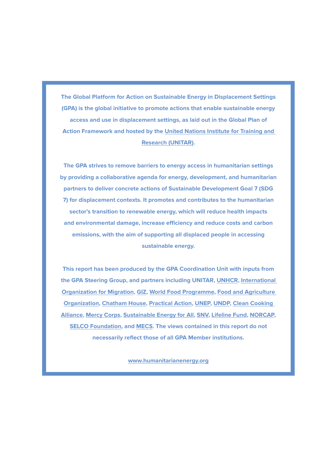**The Global Platform for Action on Sustainable Energy in Displacement Settings (GPA) is the global initiative to promote actions that enable sustainable energy access and use in displacement settings, as laid out in the Global Plan of Action Framework and hosted by the [United Nations Institute for Training and](https://www.unitar.org/sustainable-development-goals/peace)  [Research \(UNITAR\).](https://www.unitar.org/sustainable-development-goals/peace)** 

**The GPA strives to remove barriers to energy access in humanitarian settings by providing a collaborative agenda for energy, development, and humanitarian partners to deliver concrete actions of Sustainable Development Goal 7 (SDG 7) for displacement contexts. It promotes and contributes to the humanitarian sector's transition to renewable energy, which will reduce health impacts and environmental damage, increase efficiency and reduce costs and carbon emissions, with the aim of supporting all displaced people in accessing sustainable energy.** 

**This report has been produced by the GPA Coordination Unit with inputs from the GPA Steering Group, and partners including UNITAR, [UNHCR,](https://www.unhcr.org/energy.html) [International](https://www.iom.int/)  [Organization for Migration](https://www.iom.int/), [GIZ](https://www.giz.de/en/html/index.html), [World Food Programme](https://www.wfp.org/), [Food and Agriculture](http://www.fao.org/home/en/)  [Organization,](http://www.fao.org/home/en/) [Chatham House,](https://www.chathamhouse.org/) [Practical Action](http://www.practicalaction.org/), [UNEP](https://www.unep.org/), [UNDP,](http://www.undp.org/) [Clean Cooking](https://www.cleancookingalliance.org/)  [Alliance](https://www.cleancookingalliance.org/), [Mercy Corps,](http://www.mercycorps.org/) [Sustainable Energy for All,](https://www.seforall.org/) [SNV,](https://snv.org/) [Lifeline Fund,](https://lifelinefund.org/) [NORCAP,](https://www.nrc.no/expert-deployment/what-we-do/clean-energy/) [SELCO Foundation,](https://selcofoundation.org/) and [MECS.](https://mecs.org.uk/) The views contained in this report do not necessarily reflect those of all GPA Member institutions.** 

**[www.humanitarianenergy.org](https://www.humanitarianenergy.org/)**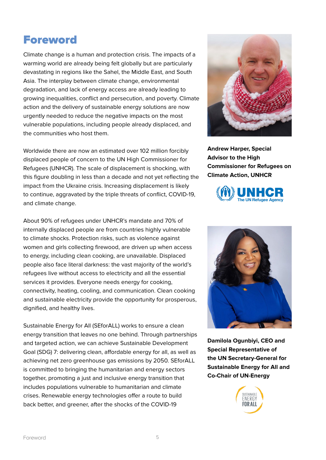### Foreword

Climate change is a human and protection crisis. The impacts of a warming world are already being felt globally but are particularly devastating in regions like the Sahel, the Middle East, and South Asia. The interplay between climate change, environmental degradation, and lack of energy access are already leading to growing inequalities, conflict and persecution, and poverty. Climate action and the delivery of sustainable energy solutions are now urgently needed to reduce the negative impacts on the most vulnerable populations, including people already displaced, and the communities who host them.

Worldwide there are now an estimated over 102 million forcibly displaced people of concern to the UN High Commissioner for Refugees (UNHCR). The scale of displacement is shocking, with this figure doubling in less than a decade and not yet reflecting the impact from the Ukraine crisis. Increasing displacement is likely to continue, aggravated by the triple threats of conflict, COVID-19, and climate change.

About 90% of refugees under UNHCR's mandate and 70% of internally displaced people are from countries highly vulnerable to climate shocks. Protection risks, such as violence against women and girls collecting firewood, are driven up when access to energy, including clean cooking, are unavailable. Displaced people also face literal darkness: the vast majority of the world's refugees live without access to electricity and all the essential services it provides. Everyone needs energy for cooking, connectivity, heating, cooling, and communication. Clean cooking and sustainable electricity provide the opportunity for prosperous, dignified, and healthy lives.

Sustainable Energy for All (SEforALL) works to ensure a clean energy transition that leaves no one behind. Through partnerships and targeted action, we can achieve Sustainable Development Goal (SDG) 7: delivering clean, affordable energy for all, as well as achieving net zero greenhouse gas emissions by 2050. SEforALL is committed to bringing the humanitarian and energy sectors together, promoting a just and inclusive energy transition that includes populations vulnerable to humanitarian and climate crises. Renewable energy technologies offer a route to build back better, and greener, after the shocks of the COVID-19



**Andrew Harper, Special Advisor to the High Commissioner for Refugees on Climate Action, UNHCR**





**Damilola Ogunbiyi, CEO and Special Representative of the UN Secretary-General for Sustainable Energy for All and Co-Chair of UN-Energy**

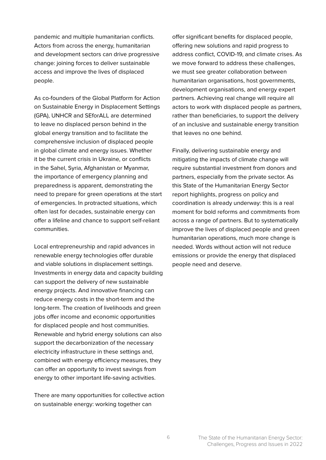pandemic and multiple humanitarian conflicts. Actors from across the energy, humanitarian and development sectors can drive progressive change: joining forces to deliver sustainable access and improve the lives of displaced people.

As co-founders of the Global Platform for Action on Sustainable Energy in Displacement Settings (GPA), UNHCR and SEforALL are determined to leave no displaced person behind in the global energy transition and to facilitate the comprehensive inclusion of displaced people in global climate and energy issues. Whether it be the current crisis in Ukraine, or conflicts in the Sahel, Syria, Afghanistan or Myanmar, the importance of emergency planning and preparedness is apparent, demonstrating the need to prepare for green operations at the start of emergencies. In protracted situations, which often last for decades, sustainable energy can offer a lifeline and chance to support self-reliant communities.

Local entrepreneurship and rapid advances in renewable energy technologies offer durable and viable solutions in displacement settings. Investments in energy data and capacity building can support the delivery of new sustainable energy projects. And innovative financing can reduce energy costs in the short-term and the long-term. The creation of livelihoods and green jobs offer income and economic opportunities for displaced people and host communities. Renewable and hybrid energy solutions can also support the decarbonization of the necessary electricity infrastructure in these settings and, combined with energy efficiency measures, they can offer an opportunity to invest savings from energy to other important life-saving activities.

There are many opportunities for collective action on sustainable energy: working together can

offer significant benefits for displaced people, offering new solutions and rapid progress to address conflict, COVID-19, and climate crises. As we move forward to address these challenges, we must see greater collaboration between humanitarian organisations, host governments, development organisations, and energy expert partners. Achieving real change will require all actors to work with displaced people as partners, rather than beneficiaries, to support the delivery of an inclusive and sustainable energy transition that leaves no one behind.

Finally, delivering sustainable energy and mitigating the impacts of climate change will require substantial investment from donors and partners, especially from the private sector. As this State of the Humanitarian Energy Sector report highlights, progress on policy and coordination is already underway: this is a real moment for bold reforms and commitments from across a range of partners. But to systematically improve the lives of displaced people and green humanitarian operations, much more change is needed. Words without action will not reduce emissions or provide the energy that displaced people need and deserve.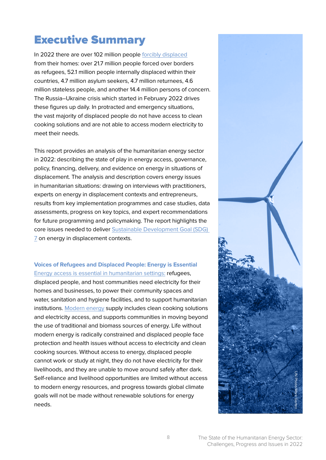## Executive Summary

In 2022 there are over 102 million people [forcibly displaced](https://reporting.unhcr.org/globalappeal2022/) from their homes: over 21.7 million people forced over borders as refugees, 52.1 million people internally displaced within their countries, 4.7 million asylum seekers, 4.7 million returnees, 4.6 million stateless people, and another 14.4 million persons of concern. The Russia–Ukraine crisis which started in February 2022 drives these figures up daily. In protracted and emergency situations, the vast majority of displaced people do not have access to clean cooking solutions and are not able to access modern electricity to meet their needs.

This report provides an analysis of the humanitarian energy sector in 2022: describing the state of play in energy access, governance, policy, financing, delivery, and evidence on energy in situations of displacement. The analysis and description covers energy issues in humanitarian situations: drawing on interviews with practitioners, experts on energy in displacement contexts and entrepreneurs, results from key implementation programmes and case studies, data assessments, progress on key topics, and expert recommendations for future programming and policymaking. The report highlights the core issues needed to deliver [Sustainable Development Goal \(SDG\)](https://sdgs.un.org/goals/goal7)  [7](https://sdgs.un.org/goals/goal7) on energy in displacement contexts.

#### **Voices of Refugees and Displaced People: Energy is Essential**  [Energy access is essential in humanitarian settings:](https://www.humanitarianenergy.org/) refugees,

displaced people, and host communities need electricity for their homes and businesses, to power their community spaces and water, sanitation and hygiene facilities, and to support humanitarian institutions. [Modern energy](https://sdg-tracker.org/energy) supply includes clean cooking solutions and electricity access, and supports communities in moving beyond the use of traditional and biomass sources of energy. Life without modern energy is radically constrained and displaced people face protection and health issues without access to electricity and clean cooking sources. Without access to energy, displaced people cannot work or study at night, they do not have electricity for their livelihoods, and they are unable to move around safely after dark. Self-reliance and livelihood opportunities are limited without access to modern energy resources, and progress towards global climate goals will not be made without renewable solutions for energy needs.

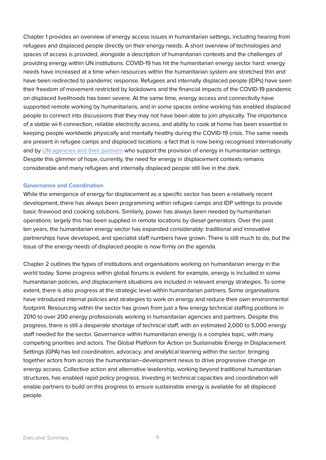Chapter 1 provides an overview of energy access issues in humanitarian settings, including hearing from refugees and displaced people directly on their energy needs. A short overview of technologies and spaces of access is provided, alongside a description of humanitarian contexts and the challenges of providing energy within UN institutions. COVID-19 has hit the humanitarian energy sector hard: energy needs have increased at a time when resources within the humanitarian system are stretched thin and have been redirected to pandemic response. Refugees and internally displaced people (IDPs) have seen their freedom of movement restricted by lockdowns and the financial impacts of the COVID-19 pandemic on displaced livelihoods has been severe. At the same time, energy access and connectivity have supported remote working by humanitarians, and in some spaces online working has enabled displaced people to connect into discussions that they may not have been able to join physically. The importance of a stable wi-fi connection, reliable electricity access, and ability to cook at home has been essential in keeping people worldwide physically and mentally healthy during the COVID-19 crisis. The same needs are present in refugee camps and displaced locations: a fact that is now being recognised internationally and by [UN agencies and their partners](https://www.humanitarianenergy.org/thematic-working-areas/clean-energy-challenge/) who support the provision of energy in humanitarian settings. Despite this glimmer of hope, currently, the need for energy in displacement contexts remains considerable and many refugees and internally displaced people still live in the dark.

#### **Governance and Coordination**

While the emergence of energy for displacement as a specific sector has been a relatively recent development, there has always been programming within refugee camps and IDP settings to provide basic firewood and cooking solutions. Similarly, power has always been needed by humanitarian operations: largely this has been supplied in remote locations by diesel generators. Over the past ten years, the humanitarian energy sector has expanded considerably: traditional and innovative partnerships have developed, and specialist staff numbers have grown. There is still much to do, but the issue of the energy needs of displaced people is now firmly on the agenda.

Chapter 2 outlines the types of institutions and organisations working on humanitarian energy in the world today. Some progress within global forums is evident: for example, energy is included in some humanitarian policies, and displacement situations are included in relevant energy strategies. To some extent, there is also progress at the strategic level within humanitarian partners. Some organisations have introduced internal policies and strategies to work on energy and reduce their own environmental footprint. Resourcing within the sector has grown from just a few energy technical staffing positions in 2010 to over 200 energy professionals working in humanitarian agencies and partners. Despite this progress, there is still a desperate shortage of technical staff, with an estimated 2,000 to 5,000 energy staff needed for the sector. Governance within humanitarian energy is a complex topic, with many competing priorities and actors. The Global Platform for Action on Sustainable Energy in Displacement Settings (GPA) has led coordination, advocacy, and analytical learning within the sector: bringing together actors from across the humanitarian–development nexus to drive progressive change on energy access. Collective action and alternative leadership, working beyond traditional humanitarian structures, has enabled rapid policy progress. Investing in technical capacities and coordination will enable partners to build on this progress to ensure sustainable energy is available for all displaced people.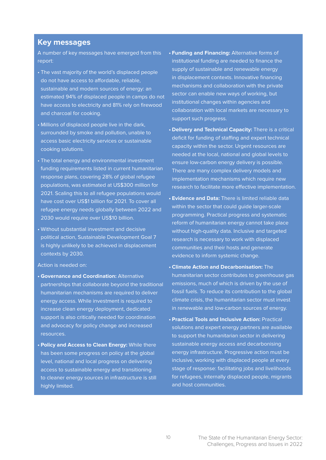#### **Key messages**

A number of key messages have emerged from this report:

- The vast majority of the world's displaced people do not have access to affordable, reliable, sustainable and modern sources of energy: an estimated 94% of displaced people in camps do not have access to electricity and 81% rely on firewood and charcoal for cooking.
- Millions of displaced people live in the dark, surrounded by smoke and pollution, unable to access basic electricity services or sustainable cooking solutions.
- The total energy and environmental investment funding requirements listed in current humanitarian response plans, covering 28% of global refugee populations, was estimated at US\$300 million for 2021. Scaling this to all refugee populations would have cost over US\$1 billion for 2021. To cover all refugee energy needs globally between 2022 and 2030 would require over US\$10 billion.
- Without substantial investment and decisive political action, Sustainable Development Goal 7 is highly unlikely to be achieved in displacement contexts by 2030.

#### Action is needed on:

- **• Governance and Coordination:** Alternative partnerships that collaborate beyond the traditional humanitarian mechanisms are required to deliver energy access. While investment is required to increase clean energy deployment, dedicated support is also critically needed for coordination and advocacy for policy change and increased resources.
- **• Policy and Access to Clean Energy:** While there has been some progress on policy at the global level, national and local progress on delivering access to sustainable energy and transitioning to cleaner energy sources in infrastructure is still highly limited.
- **• Funding and Financing:** Alternative forms of institutional funding are needed to finance the supply of sustainable and renewable energy in displacement contexts. Innovative financing mechanisms and collaboration with the private sector can enable new ways of working, but institutional changes within agencies and collaboration with local markets are necessary to support such progress.
- **• Delivery and Technical Capacity:** There is a critical deficit for funding of staffing and expert technical capacity within the sector. Urgent resources are needed at the local, national and global levels to ensure low-carbon energy delivery is possible. There are many complex delivery models and implementation mechanisms which require new research to facilitate more effective implementation.
- **• Evidence and Data:** There is limited reliable data within the sector that could guide larger-scale programming. Practical progress and systematic reform of humanitarian energy cannot take place without high-quality data. Inclusive and targeted research is necessary to work with displaced communities and their hosts and generate evidence to inform systemic change.
- **• Climate Action and Decarbonisation:** The humanitarian sector contributes to greenhouse gas emissions, much of which is driven by the use of fossil fuels. To reduce its contribution to the global climate crisis, the humanitarian sector must invest in renewable and low-carbon sources of energy.
- **• Practical Tools and Inclusive Action:** Practical solutions and expert energy partners are available to support the humanitarian sector in delivering sustainable energy access and decarbonising energy infrastructure. Progressive action must be inclusive, working with displaced people at every stage of response: facilitating jobs and livelihoods for refugees, internally displaced people, migrants and host communities.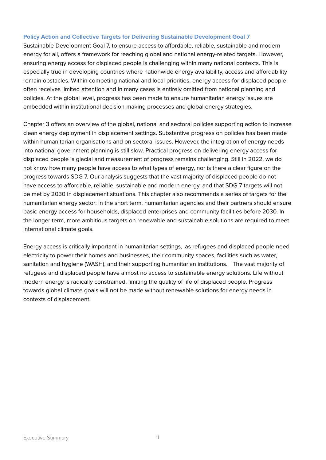#### **Policy Action and Collective Targets for Delivering Sustainable Development Goal 7**

Sustainable Development Goal 7, to ensure access to affordable, reliable, sustainable and modern energy for all, offers a framework for reaching global and national energy-related targets. However, ensuring energy access for displaced people is challenging within many national contexts. This is especially true in developing countries where nationwide energy availability, access and affordability remain obstacles. Within competing national and local priorities, energy access for displaced people often receives limited attention and in many cases is entirely omitted from national planning and policies. At the global level, progress has been made to ensure humanitarian energy issues are embedded within institutional decision-making processes and global energy strategies.

Chapter 3 offers an overview of the global, national and sectoral policies supporting action to increase clean energy deployment in displacement settings. Substantive progress on policies has been made within humanitarian organisations and on sectoral issues. However, the integration of energy needs into national government planning is still slow. Practical progress on delivering energy access for displaced people is glacial and measurement of progress remains challenging. Still in 2022, we do not know how many people have access to what types of energy, nor is there a clear figure on the progress towards SDG 7. Our analysis suggests that the vast majority of displaced people do not have access to affordable, reliable, sustainable and modern energy, and that SDG 7 targets will not be met by 2030 in displacement situations. This chapter also recommends a series of targets for the humanitarian energy sector: in the short term, humanitarian agencies and their partners should ensure basic energy access for households, displaced enterprises and community facilities before 2030. In the longer term, more ambitious targets on renewable and sustainable solutions are required to meet international climate goals.

Energy access is critically important in humanitarian settings, as refugees and displaced people need electricity to power their homes and businesses, their community spaces, facilities such as water, sanitation and hygiene (WASH), and their supporting humanitarian institutions. The vast majority of refugees and displaced people have almost no access to sustainable energy solutions. Life without modern energy is radically constrained, limiting the quality of life of displaced people. Progress towards global climate goals will not be made without renewable solutions for energy needs in contexts of displacement.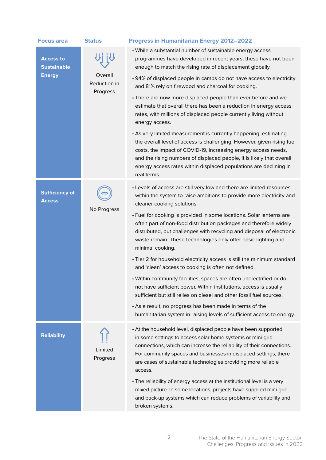| <b>Focus area</b>                                       | <b>Status</b>                       | <b>Progress in Humanitarian Energy 2012-2022</b>                                                                                                                                                                                                                                                                                                                          |
|---------------------------------------------------------|-------------------------------------|---------------------------------------------------------------------------------------------------------------------------------------------------------------------------------------------------------------------------------------------------------------------------------------------------------------------------------------------------------------------------|
| <b>Access to</b><br><b>Sustainable</b><br><b>Energy</b> | Overall<br>Reduction in<br>Progress | • While a substantial number of sustainable energy access<br>programmes have developed in recent years, these have not been<br>enough to match the rising rate of displacement globally.                                                                                                                                                                                  |
|                                                         |                                     | • 94% of displaced people in camps do not have access to electricity<br>and 81% rely on firewood and charcoal for cooking.                                                                                                                                                                                                                                                |
|                                                         |                                     | • There are now more displaced people than ever before and we<br>estimate that overall there has been a reduction in energy access<br>rates, with millions of displaced people currently living without<br>energy access.                                                                                                                                                 |
|                                                         |                                     | • As very limited measurement is currently happening, estimating<br>the overall level of access is challenging. However, given rising fuel<br>costs, the impact of COVID-19, increasing energy access needs,<br>and the rising numbers of displaced people, it is likely that overall<br>energy access rates within displaced populations are declining in<br>real terms. |
| <b>Sufficiency of</b><br><b>Access</b>                  | No Progress                         | • Levels of access are still very low and there are limited resources<br>within the system to raise ambitions to provide more electricity and<br>cleaner cooking solutions.                                                                                                                                                                                               |
|                                                         |                                     | • Fuel for cooking is provided in some locations. Solar lanterns are<br>often part of non-food distribution packages and therefore widely<br>distributed, but challenges with recycling and disposal of electronic<br>waste remain. These technologies only offer basic lighting and<br>minimal cooking.                                                                  |
|                                                         |                                     | • Tier 2 for household electricity access is still the minimum standard<br>and 'clean' access to cooking is often not defined.                                                                                                                                                                                                                                            |
|                                                         |                                     | · Within community facilities, spaces are often unelectrified or do<br>not have sufficient power. Within institutions, access is usually<br>sufficient but still relies on diesel and other fossil fuel sources.                                                                                                                                                          |
|                                                         |                                     | • As a result, no progress has been made in terms of the<br>humanitarian system in raising levels of sufficient access to energy.                                                                                                                                                                                                                                         |
| <b>Reliability</b>                                      | Limited<br>Progress                 | • At the household level, displaced people have been supported<br>in some settings to access solar home systems or mini-grid<br>connections, which can increase the reliability of their connections.<br>For community spaces and businesses in displaced settings, there<br>are cases of sustainable technologies providing more reliable<br>access.                     |
|                                                         |                                     | • The reliability of energy access at the institutional level is a very<br>mixed picture. In some locations, projects have supplied mini-grid<br>and back-up systems which can reduce problems of variability and<br>broken systems.                                                                                                                                      |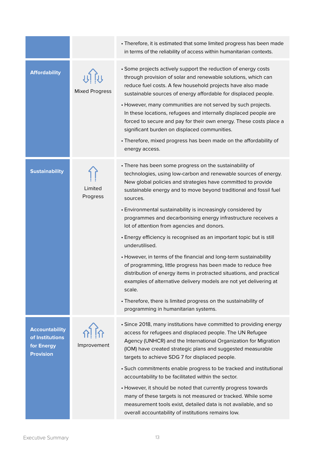|                                                                            |                                    | • Therefore, it is estimated that some limited progress has been made<br>in terms of the reliability of access within humanitarian contexts.                                                                                                                                                                                                                                                                                                                                                                                                                                                                                                                                                                                                                                                                                                                                                                                                                |
|----------------------------------------------------------------------------|------------------------------------|-------------------------------------------------------------------------------------------------------------------------------------------------------------------------------------------------------------------------------------------------------------------------------------------------------------------------------------------------------------------------------------------------------------------------------------------------------------------------------------------------------------------------------------------------------------------------------------------------------------------------------------------------------------------------------------------------------------------------------------------------------------------------------------------------------------------------------------------------------------------------------------------------------------------------------------------------------------|
| <b>Affordability</b>                                                       | <u>비행</u><br><b>Mixed Progress</b> | • Some projects actively support the reduction of energy costs<br>through provision of solar and renewable solutions, which can<br>reduce fuel costs. A few household projects have also made<br>sustainable sources of energy affordable for displaced people.<br>• However, many communities are not served by such projects.<br>In these locations, refugees and internally displaced people are<br>forced to secure and pay for their own energy. These costs place a<br>significant burden on displaced communities.<br>• Therefore, mixed progress has been made on the affordability of<br>energy access.                                                                                                                                                                                                                                                                                                                                            |
| <b>Sustainability</b>                                                      | Limited<br>Progress                | • There has been some progress on the sustainability of<br>technologies, using low-carbon and renewable sources of energy.<br>New global policies and strategies have committed to provide<br>sustainable energy and to move beyond traditional and fossil fuel<br>sources.<br>• Environmental sustainability is increasingly considered by<br>programmes and decarbonising energy infrastructure receives a<br>lot of attention from agencies and donors.<br>• Energy efficiency is recognised as an important topic but is still<br>underutilised.<br>• However, in terms of the financial and long-term sustainability<br>of programming, little progress has been made to reduce free<br>distribution of energy items in protracted situations, and practical<br>examples of alternative delivery models are not yet delivering at<br>scale.<br>• Therefore, there is limited progress on the sustainability of<br>programming in humanitarian systems. |
| <b>Accountability</b><br>of Institutions<br>for Energy<br><b>Provision</b> | $\frac{1}{2}$<br>Improvement       | • Since 2018, many institutions have committed to providing energy<br>access for refugees and displaced people. The UN Refugee<br>Agency (UNHCR) and the International Organization for Migration<br>(IOM) have created strategic plans and suggested measurable<br>targets to achieve SDG 7 for displaced people.<br>• Such commitments enable progress to be tracked and institutional<br>accountability to be facilitated within the sector.<br>• However, it should be noted that currently progress towards<br>many of these targets is not measured or tracked. While some<br>measurement tools exist, detailed data is not available, and so<br>overall accountability of institutions remains low.                                                                                                                                                                                                                                                  |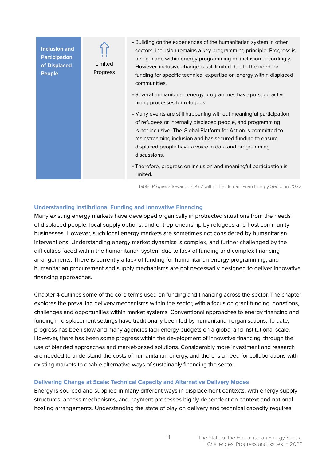

Table: Progress towards SDG 7 within the Humanitarian Energy Sector in 2022.

#### **Understanding Institutional Funding and Innovative Financing**

Many existing energy markets have developed organically in protracted situations from the needs of displaced people, local supply options, and entrepreneurship by refugees and host community businesses. However, such local energy markets are sometimes not considered by humanitarian interventions. Understanding energy market dynamics is complex, and further challenged by the difficulties faced within the humanitarian system due to lack of funding and complex financing arrangements. There is currently a lack of funding for humanitarian energy programming, and humanitarian procurement and supply mechanisms are not necessarily designed to deliver innovative financing approaches.

Chapter 4 outlines some of the core terms used on funding and financing across the sector. The chapter explores the prevailing delivery mechanisms within the sector, with a focus on grant funding, donations, challenges and opportunities within market systems. Conventional approaches to energy financing and funding in displacement settings have traditionally been led by humanitarian organisations. To date, progress has been slow and many agencies lack energy budgets on a global and institutional scale. However, there has been some progress within the development of innovative financing, through the use of blended approaches and market-based solutions. Considerably more investment and research are needed to understand the costs of humanitarian energy, and there is a need for collaborations with existing markets to enable alternative ways of sustainably financing the sector.

#### **Delivering Change at Scale: Technical Capacity and Alternative Delivery Modes**

Energy is sourced and supplied in many different ways in displacement contexts, with energy supply structures, access mechanisms, and payment processes highly dependent on context and national hosting arrangements. Understanding the state of play on delivery and technical capacity requires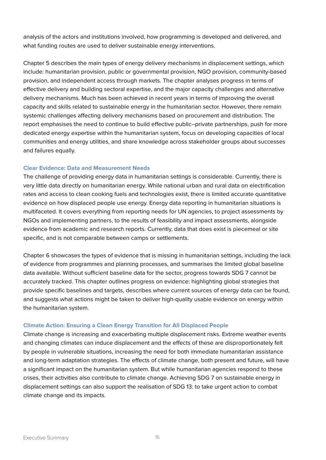analysis of the actors and institutions involved, how programming is developed and delivered, and what funding routes are used to deliver sustainable energy interventions.

Chapter 5 describes the main types of energy delivery mechanisms in displacement settings, which include: humanitarian provision, public or governmental provision, NGO provision, community-based provision, and independent access through markets. The chapter analyses progress in terms of effective delivery and building sectoral expertise, and the major capacity challenges and alternative delivery mechanisms. Much has been achieved in recent years in terms of improving the overall capacity and skills related to sustainable energy in the humanitarian sector. However, there remain systemic challenges affecting delivery mechanisms based on procurement and distribution. The report emphasises the need to continue to build effective public–private partnerships, push for more dedicated energy expertise within the humanitarian system, focus on developing capacities of local communities and energy utilities, and share knowledge across stakeholder groups about successes and failures equally.

#### **Clear Evidence: Data and Measurement Needs**

The challenge of providing energy data in humanitarian settings is considerable. Currently, there is very little data directly on humanitarian energy. While national urban and rural data on electrification rates and access to clean cooking fuels and technologies exist, there is limited accurate quantitative evidence on how displaced people use energy. Energy data reporting in humanitarian situations is multifaceted. It covers everything from reporting needs for UN agencies, to project assessments by NGOs and implementing partners, to the results of feasibility and impact assessments, alongside evidence from academic and research reports. Currently, data that does exist is piecemeal or site specific, and is not comparable between camps or settlements.

Chapter 6 showcases the types of evidence that is missing in humanitarian settings, including the lack of evidence from programmes and planning processes, and summarises the limited global baseline data available. Without sufficient baseline data for the sector, progress towards SDG 7 cannot be accurately tracked. This chapter outlines progress on evidence: highlighting global strategies that provide specific baselines and targets, describes where current sources of energy data can be found, and suggests what actions might be taken to deliver high-quality usable evidence on energy within the humanitarian system.

#### **Climate Action: Ensuring a Clean Energy Transition for All Displaced People**

Climate change is increasing and exacerbating multiple displacement risks. Extreme weather events and changing climates can induce displacement and the effects of these are disproportionately felt by people in vulnerable situations, increasing the need for both immediate humanitarian assistance and long-term adaptation strategies. The effects of climate change, both present and future, will have a significant impact on the humanitarian system. But while humanitarian agencies respond to these crises, their activities also contribute to climate change. Achieving SDG 7 on sustainable energy in displacement settings can also support the realisation of SDG 13: to take urgent action to combat climate change and its impacts.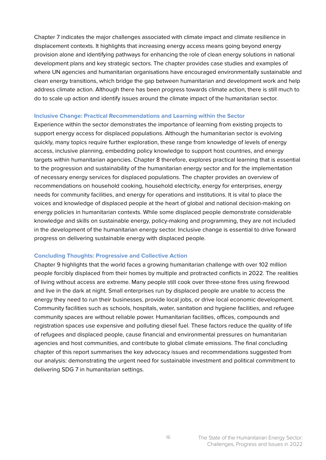Chapter 7 indicates the major challenges associated with climate impact and climate resilience in displacement contexts. It highlights that increasing energy access means going beyond energy provision alone and identifying pathways for enhancing the role of clean energy solutions in national development plans and key strategic sectors. The chapter provides case studies and examples of where UN agencies and humanitarian organisations have encouraged environmentally sustainable and clean energy transitions, which bridge the gap between humanitarian and development work and help address climate action. Although there has been progress towards climate action, there is still much to do to scale up action and identify issues around the climate impact of the humanitarian sector.

#### **Inclusive Change: Practical Recommendations and Learning within the Sector**

Experience within the sector demonstrates the importance of learning from existing projects to support energy access for displaced populations. Although the humanitarian sector is evolving quickly, many topics require further exploration, these range from knowledge of levels of energy access, inclusive planning, embedding policy knowledge to support host countries, and energy targets within humanitarian agencies. Chapter 8 therefore, explores practical learning that is essential to the progression and sustainability of the humanitarian energy sector and for the implementation of necessary energy services for displaced populations. The chapter provides an overview of recommendations on household cooking, household electricity, energy for enterprises, energy needs for community facilities, and energy for operations and institutions. It is vital to place the voices and knowledge of displaced people at the heart of global and national decision-making on energy policies in humanitarian contexts. While some displaced people demonstrate considerable knowledge and skills on sustainable energy, policy-making and programming, they are not included in the development of the humanitarian energy sector. Inclusive change is essential to drive forward progress on delivering sustainable energy with displaced people.

#### **Concluding Thoughts: Progressive and Collective Action**

Chapter 9 highlights that the world faces a growing humanitarian challenge with over 102 million people forcibly displaced from their homes by multiple and protracted conflicts in 2022. The realities of living without access are extreme. Many people still cook over three-stone fires using firewood and live in the dark at night. Small enterprises run by displaced people are unable to access the energy they need to run their businesses, provide local jobs, or drive local economic development. Community facilities such as schools, hospitals, water, sanitation and hygiene facilities, and refugee community spaces are without reliable power. Humanitarian facilities, offices, compounds and registration spaces use expensive and polluting diesel fuel. These factors reduce the quality of life of refugees and displaced people, cause financial and environmental pressures on humanitarian agencies and host communities, and contribute to global climate emissions. The final concluding chapter of this report summarises the key advocacy issues and recommendations suggested from our analysis: demonstrating the urgent need for sustainable investment and political commitment to delivering SDG 7 in humanitarian settings.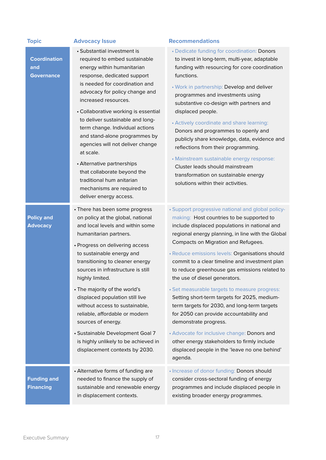| <b>Topic</b>                                    | <b>Advocacy Issue</b>                                                                                                                                                                                                                                                                                                                                                                                                                                                                                                                                                     | <b>Recommendations</b>                                                                                                                                                                                                                                                                                                                                                                                                                                                                                                                                                                                                                                                                                                                                                                                            |
|-------------------------------------------------|---------------------------------------------------------------------------------------------------------------------------------------------------------------------------------------------------------------------------------------------------------------------------------------------------------------------------------------------------------------------------------------------------------------------------------------------------------------------------------------------------------------------------------------------------------------------------|-------------------------------------------------------------------------------------------------------------------------------------------------------------------------------------------------------------------------------------------------------------------------------------------------------------------------------------------------------------------------------------------------------------------------------------------------------------------------------------------------------------------------------------------------------------------------------------------------------------------------------------------------------------------------------------------------------------------------------------------------------------------------------------------------------------------|
| <b>Coordination</b><br>and<br><b>Governance</b> | • Substantial investment is<br>required to embed sustainable<br>energy within humanitarian<br>response, dedicated support<br>is needed for coordination and<br>advocacy for policy change and<br>increased resources.<br>• Collaborative working is essential<br>to deliver sustainable and long-<br>term change. Individual actions<br>and stand-alone programmes by<br>agencies will not deliver change<br>at scale.<br>• Alternative partnerships<br>that collaborate beyond the<br>traditional hum anitarian<br>mechanisms are required to<br>deliver energy access.  | • Dedicate funding for coordination: Donors<br>to invest in long-term, multi-year, adaptable<br>funding with resourcing for core coordination<br>functions.<br>• Work in partnership: Develop and deliver<br>programmes and investments using<br>substantive co-design with partners and<br>displaced people.<br>• Actively coordinate and share learning:<br>Donors and programmes to openly and<br>publicly share knowledge, data, evidence and<br>reflections from their programming.<br>• Mainstream sustainable energy response:<br>Cluster leads should mainstream<br>transformation on sustainable energy<br>solutions within their activities.                                                                                                                                                            |
| <b>Policy and</b><br><b>Advocacy</b>            | • There has been some progress<br>on policy at the global, national<br>and local levels and within some<br>humanitarian partners.<br>• Progress on delivering access<br>to sustainable energy and<br>transitioning to cleaner energy<br>sources in infrastructure is still<br>highly limited.<br>• The majority of the world's<br>displaced population still live<br>without access to sustainable,<br>reliable, affordable or modern<br>sources of energy.<br>· Sustainable Development Goal 7<br>is highly unlikely to be achieved in<br>displacement contexts by 2030. | • Support progressive national and global policy-<br>making: Host countries to be supported to<br>include displaced populations in national and<br>regional energy planning, in line with the Global<br>Compacts on Migration and Refugees.<br>· Reduce emissions levels: Organisations should<br>commit to a clear timeline and investment plan<br>to reduce greenhouse gas emissions related to<br>the use of diesel generators.<br>· Set measurable targets to measure progress:<br>Setting short-term targets for 2025, medium-<br>term targets for 2030, and long-term targets<br>for 2050 can provide accountability and<br>demonstrate progress.<br>• Advocate for inclusive change: Donors and<br>other energy stakeholders to firmly include<br>displaced people in the 'leave no one behind'<br>agenda. |
| <b>Funding and</b><br><b>Financing</b>          | • Alternative forms of funding are<br>needed to finance the supply of<br>sustainable and renewable energy<br>in displacement contexts.                                                                                                                                                                                                                                                                                                                                                                                                                                    | · Increase of donor funding: Donors should<br>consider cross-sectoral funding of energy<br>programmes and include displaced people in<br>existing broader energy programmes.                                                                                                                                                                                                                                                                                                                                                                                                                                                                                                                                                                                                                                      |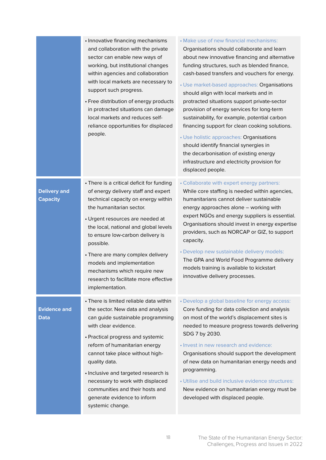|                                        | • Innovative financing mechanisms<br>and collaboration with the private<br>sector can enable new ways of<br>working, but institutional changes<br>within agencies and collaboration<br>with local markets are necessary to<br>support such progress.<br>• Free distribution of energy products<br>in protracted situations can damage<br>local markets and reduces self-<br>reliance opportunities for displaced<br>people.                     | • Make use of new financial mechanisms:<br>Organisations should collaborate and learn<br>about new innovative financing and alternative<br>funding structures, such as blended finance,<br>cash-based transfers and vouchers for energy.<br>• Use market-based approaches: Organisations<br>should align with local markets and in<br>protracted situations support private-sector<br>provision of energy services for long-term<br>sustainability, for example, potential carbon<br>financing support for clean cooking solutions.<br>· Use holistic approaches: Organisations<br>should identify financial synergies in<br>the decarbonisation of existing energy<br>infrastructure and electricity provision for<br>displaced people. |
|----------------------------------------|-------------------------------------------------------------------------------------------------------------------------------------------------------------------------------------------------------------------------------------------------------------------------------------------------------------------------------------------------------------------------------------------------------------------------------------------------|------------------------------------------------------------------------------------------------------------------------------------------------------------------------------------------------------------------------------------------------------------------------------------------------------------------------------------------------------------------------------------------------------------------------------------------------------------------------------------------------------------------------------------------------------------------------------------------------------------------------------------------------------------------------------------------------------------------------------------------|
| <b>Delivery and</b><br><b>Capacity</b> | • There is a critical deficit for funding<br>of energy delivery staff and expert<br>technical capacity on energy within<br>the humanitarian sector.<br>• Urgent resources are needed at<br>the local, national and global levels<br>to ensure low-carbon delivery is<br>possible.<br>• There are many complex delivery<br>models and implementation<br>mechanisms which require new<br>research to facilitate more effective<br>implementation. | • Collaborate with expert energy partners:<br>While core staffing is needed within agencies,<br>humanitarians cannot deliver sustainable<br>energy approaches alone - working with<br>expert NGOs and energy suppliers is essential.<br>Organisations should invest in energy expertise<br>providers, such as NORCAP or GIZ, to support<br>capacity.<br>• Develop new sustainable delivery models:<br>The GPA and World Food Programme delivery<br>models training is available to kickstart<br>innovative delivery processes.                                                                                                                                                                                                           |
| <b>Evidence and</b><br>Data            | • There is limited reliable data within<br>the sector. New data and analysis<br>can guide sustainable programming<br>with clear evidence.<br>• Practical progress and systemic<br>reform of humanitarian energy<br>cannot take place without high-<br>quality data.<br>· Inclusive and targeted research is<br>necessary to work with displaced<br>communities and their hosts and<br>generate evidence to inform<br>systemic change.           | • Develop a global baseline for energy access:<br>Core funding for data collection and analysis<br>on most of the world's displacement sites is<br>needed to measure progress towards delivering<br>SDG 7 by 2030.<br>· Invest in new research and evidence:<br>Organisations should support the development<br>of new data on humanitarian energy needs and<br>programming.<br>• Utilise and build inclusive evidence structures:<br>New evidence on humanitarian energy must be<br>developed with displaced people.                                                                                                                                                                                                                    |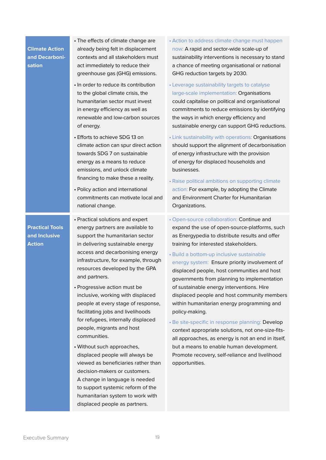Executive Summary 19

**Climate Action and Decarbonisation**

• The effects of climate change are already being felt in displacement contexts and all stakeholders must act immediately to reduce their greenhouse gas (GHG) emissions.

- In order to reduce its contribution to the global climate crisis, the humanitarian sector must invest in energy efficiency as well as renewable and low-carbon sources of energy.
- Efforts to achieve SDG 13 on climate action can spur direct action towards SDG 7 on sustainable energy as a means to reduce emissions, and unlock climate financing to make these a reality.
- Policy action and international commitments can motivate local and national change.

**Practical Tools and Inclusive Action**

- Practical solutions and expert energy partners are available to support the humanitarian sector in delivering sustainable energy access and decarbonising energy infrastructure, for example, through resources developed by the GPA and partners.
- Progressive action must be inclusive, working with displaced people at every stage of response, facilitating jobs and livelihoods for refugees, internally displaced people, migrants and host communities.
- Without such approaches, displaced people will always be viewed as beneficiaries rather than decision-makers or customers. A change in language is needed to support systemic reform of the humanitarian system to work with displaced people as partners.
- Action to address climate change must happen now: A rapid and sector-wide scale-up of sustainability interventions is necessary to stand a chance of meeting organisational or national GHG reduction targets by 2030.
- Leverage sustainability targets to catalyse large-scale implementation: Organisations could capitalise on political and organisational commitments to reduce emissions by identifying the ways in which energy efficiency and sustainable energy can support GHG reductions.
- Link sustainability with operations: Organisations should support the alignment of decarbonisation of energy infrastructure with the provision of energy for displaced households and businesses.
- Raise political ambitions on supporting climate action: For example, by adopting the Climate and Environment Charter for Humanitarian Organizations.
- Open-source collaboration: Continue and expand the use of open-source-platforms, such as Energypedia to distribute results and offer training for interested stakeholders.
- Build a bottom-up inclusive sustainable energy system: Ensure priority involvement of displaced people, host communities and host governments from planning to implementation of sustainable energy interventions. Hire displaced people and host community members within humanitarian energy programming and policy-making.
- Be site-specific in response planning: Develop context appropriate solutions, not one-size-fitsall approaches, as energy is not an end in itself, but a means to enable human development. Promote recovery, self-reliance and livelihood opportunities.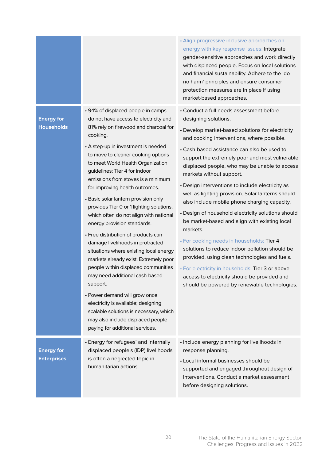|                                         |                                                                                                                                                                                                                                                                                                                                                                                                                                                                                                                                                                                                                                                                                                                                                                                                                                                                                                                                                                       | • Align progressive inclusive approaches on<br>energy with key response issues: Integrate<br>gender-sensitive approaches and work directly<br>with displaced people. Focus on local solutions<br>and financial sustainability. Adhere to the 'do<br>no harm' principles and ensure consumer<br>protection measures are in place if using<br>market-based approaches.                                                                                                                                                                                                                                                                                                                                                                                                                                                                                                                                                             |
|-----------------------------------------|-----------------------------------------------------------------------------------------------------------------------------------------------------------------------------------------------------------------------------------------------------------------------------------------------------------------------------------------------------------------------------------------------------------------------------------------------------------------------------------------------------------------------------------------------------------------------------------------------------------------------------------------------------------------------------------------------------------------------------------------------------------------------------------------------------------------------------------------------------------------------------------------------------------------------------------------------------------------------|----------------------------------------------------------------------------------------------------------------------------------------------------------------------------------------------------------------------------------------------------------------------------------------------------------------------------------------------------------------------------------------------------------------------------------------------------------------------------------------------------------------------------------------------------------------------------------------------------------------------------------------------------------------------------------------------------------------------------------------------------------------------------------------------------------------------------------------------------------------------------------------------------------------------------------|
| <b>Energy for</b><br><b>Households</b>  | • 94% of displaced people in camps<br>do not have access to electricity and<br>81% rely on firewood and charcoal for<br>cooking.<br>• A step-up in investment is needed<br>to move to cleaner cooking options<br>to meet World Health Organization<br>guidelines: Tier 4 for indoor<br>emissions from stoves is a minimum<br>for improving health outcomes.<br>• Basic solar lantern provision only<br>provides Tier 0 or 1 lighting solutions,<br>which often do not align with national<br>energy provision standards.<br>• Free distribution of products can<br>damage livelihoods in protracted<br>situations where existing local energy<br>markets already exist. Extremely poor<br>people within displaced communities<br>may need additional cash-based<br>support.<br>• Power demand will grow once<br>electricity is available; designing<br>scalable solutions is necessary, which<br>may also include displaced people<br>paying for additional services. | • Conduct a full needs assessment before<br>designing solutions.<br>• Develop market-based solutions for electricity<br>and cooking interventions, where possible.<br>• Cash-based assistance can also be used to<br>support the extremely poor and most vulnerable<br>displaced people, who may be unable to access<br>markets without support.<br>• Design interventions to include electricity as<br>well as lighting provision. Solar lanterns should<br>also include mobile phone charging capacity.<br>· Design of household electricity solutions should<br>be market-based and align with existing local<br>markets.<br>· For cooking needs in households: Tier 4<br>solutions to reduce indoor pollution should be<br>provided, using clean technologies and fuels.<br>· For electricity in households: Tier 3 or above<br>access to electricity should be provided and<br>should be powered by renewable technologies. |
| <b>Energy for</b><br><b>Enterprises</b> | • Energy for refugees' and internally<br>displaced people's (IDP) livelihoods<br>is often a neglected topic in<br>humanitarian actions.                                                                                                                                                                                                                                                                                                                                                                                                                                                                                                                                                                                                                                                                                                                                                                                                                               | · Include energy planning for livelihoods in<br>response planning.<br>• Local informal businesses should be<br>supported and engaged throughout design of<br>interventions. Conduct a market assessment<br>before designing solutions.                                                                                                                                                                                                                                                                                                                                                                                                                                                                                                                                                                                                                                                                                           |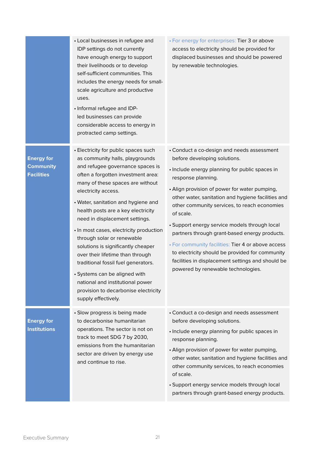|                                                            | • Local businesses in refugee and<br>IDP settings do not currently<br>have enough energy to support<br>their livelihoods or to develop<br>self-sufficient communities. This<br>includes the energy needs for small-<br>scale agriculture and productive<br>uses.<br>• Informal refugee and IDP-<br>led businesses can provide<br>considerable access to energy in<br>protracted camp settings.                                                                                                                                                                                                                                                            | · For energy for enterprises: Tier 3 or above<br>access to electricity should be provided for<br>displaced businesses and should be powered<br>by renewable technologies.                                                                                                                                                                                                                                                                                                                                                                                                                                                    |
|------------------------------------------------------------|-----------------------------------------------------------------------------------------------------------------------------------------------------------------------------------------------------------------------------------------------------------------------------------------------------------------------------------------------------------------------------------------------------------------------------------------------------------------------------------------------------------------------------------------------------------------------------------------------------------------------------------------------------------|------------------------------------------------------------------------------------------------------------------------------------------------------------------------------------------------------------------------------------------------------------------------------------------------------------------------------------------------------------------------------------------------------------------------------------------------------------------------------------------------------------------------------------------------------------------------------------------------------------------------------|
| <b>Energy for</b><br><b>Community</b><br><b>Facilities</b> | • Electricity for public spaces such<br>as community halls, playgrounds<br>and refugee governance spaces is<br>often a forgotten investment area:<br>many of these spaces are without<br>electricity access.<br>• Water, sanitation and hygiene and<br>health posts are a key electricity<br>need in displacement settings.<br>• In most cases, electricity production<br>through solar or renewable<br>solutions is significantly cheaper<br>over their lifetime than through<br>traditional fossil fuel generators.<br>· Systems can be aligned with<br>national and institutional power<br>provision to decarbonise electricity<br>supply effectively. | • Conduct a co-design and needs assessment<br>before developing solutions.<br>· Include energy planning for public spaces in<br>response planning.<br>• Align provision of power for water pumping,<br>other water, sanitation and hygiene facilities and<br>other community services, to reach economies<br>of scale.<br>· Support energy service models through local<br>partners through grant-based energy products.<br>• For community facilities: Tier 4 or above access<br>to electricity should be provided for community<br>facilities in displacement settings and should be<br>powered by renewable technologies. |
| <b>Energy for</b><br><b>Institutions</b>                   | · Slow progress is being made<br>to decarbonise humanitarian<br>operations. The sector is not on<br>track to meet SDG 7 by 2030,<br>emissions from the humanitarian<br>sector are driven by energy use<br>and continue to rise.                                                                                                                                                                                                                                                                                                                                                                                                                           | • Conduct a co-design and needs assessment<br>before developing solutions.<br>· Include energy planning for public spaces in<br>response planning.<br>• Align provision of power for water pumping,<br>other water, sanitation and hygiene facilities and<br>other community services, to reach economies<br>of scale.<br>· Support energy service models through local<br>partners through grant-based energy products.                                                                                                                                                                                                     |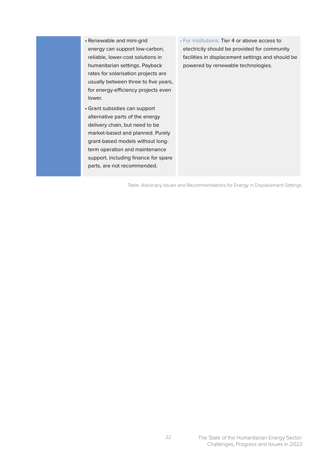- Renewable and mini-grid energy can support low-carbon, reliable, lower-cost solutions in humanitarian settings. Payback rates for solarisation projects are usually between three to five years, for energy-efficiency projects even lower.
- Grant subsidies can support alternative parts of the energy delivery chain, but need to be market-based and planned. Purely grant-based models without longterm operation and maintenance support, including finance for spare parts, are not recommended.
- For institutions: Tier 4 or above access to electricity should be provided for community facilities in displacement settings and should be powered by renewable technologies.

Table: Advocacy Issues and Recommendations for Energy in Displacement Settings.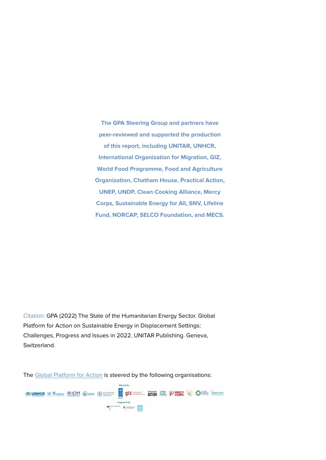**The GPA Steering Group and partners have peer-reviewed and supported the production of this report, including UNITAR, UNHCR, International Organization for Migration, GIZ, World Food Programme, Food and Agriculture Organization, Chatham House, Practical Action, UNEP, UNDP, Clean Cooking Alliance, Mercy Corps, Sustainable Energy for All, SNV, Lifeline Fund, NORCAP, SELCO Foundation, and MECS.**

Citation: GPA (2022) The State of the Humanitarian Energy Sector. Global Platform for Action on Sustainable Energy in Displacement Settings: Challenges, Progress and Issues in 2022. UNITAR Publishing. Geneva, Switzerland.

The [Global Platform for Action](https://www.humanitarianenergy.org/) is steered by the following organisations: